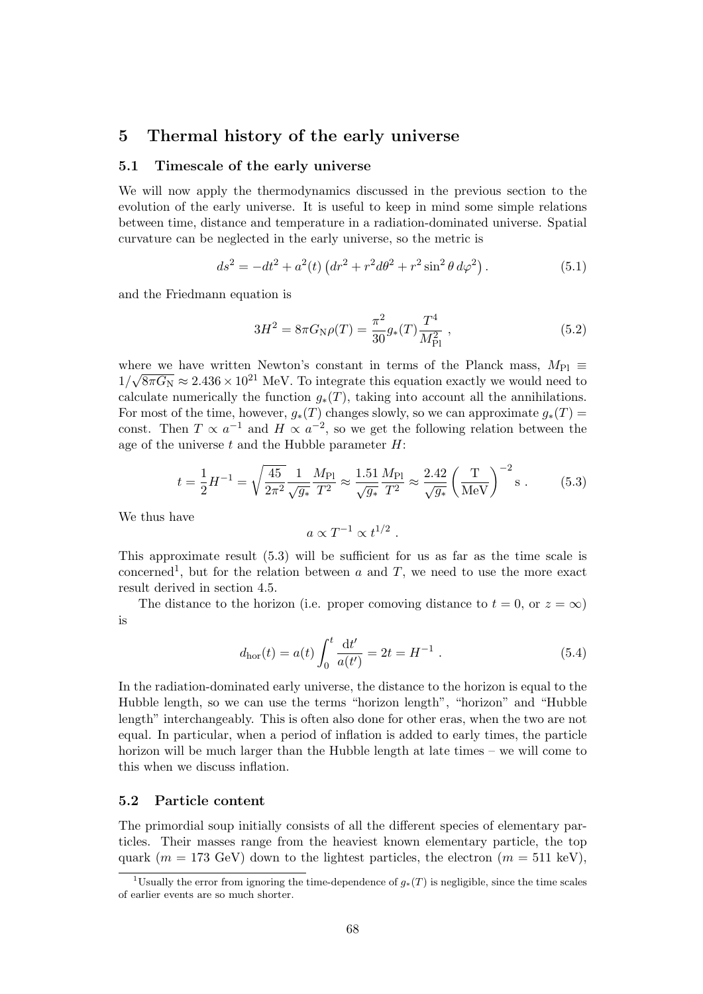# **5 Thermal history of the early universe**

## **5.1 Timescale of the early universe**

We will now apply the thermodynamics discussed in the previous section to the evolution of the early universe. It is useful to keep in mind some simple relations between time, distance and temperature in a radiation-dominated universe. Spatial curvature can be neglected in the early universe, so the metric is

$$
ds^{2} = -dt^{2} + a^{2}(t) \left( dr^{2} + r^{2} d\theta^{2} + r^{2} \sin^{2} \theta d\varphi^{2} \right). \tag{5.1}
$$

and the Friedmann equation is

$$
3H^2 = 8\pi G_{\rm N}\rho(T) = \frac{\pi^2}{30}g_*(T)\frac{T^4}{M_{\rm Pl}^2} \,,\tag{5.2}
$$

where we have written Newton's constant in terms of the Planck mass,  $M_{\text{Pl}} \equiv$  $1/\sqrt{8\pi G_{\rm N}} \approx 2.436 \times 10^{21}$  MeV. To integrate this equation exactly we would need to calculate numerically the function  $g_*(T)$ , taking into account all the annihilations. For most of the time, however,  $g_*(T)$  changes slowly, so we can approximate  $g_*(T)$ const. Then  $T \propto a^{-1}$  and  $H \propto a^{-2}$ , so we get the following relation between the age of the universe *t* and the Hubble parameter *H*:

$$
t = \frac{1}{2}H^{-1} = \sqrt{\frac{45}{2\pi^2}} \frac{1}{\sqrt{g_*}} \frac{M_{\rm Pl}}{T^2} \approx \frac{1.51}{\sqrt{g_*}} \frac{M_{\rm Pl}}{T^2} \approx \frac{2.42}{\sqrt{g_*}} \left(\frac{T}{\rm MeV}\right)^{-2} \rm s \ . \tag{5.3}
$$

We thus have

$$
a \propto T^{-1} \propto t^{1/2} .
$$

This approximate result (5.3) will be sufficient for us as far as the time scale is concerned<sup>1</sup>, but for the relation between  $a$  and  $T$ , we need to use the more exact result derived in section 4.5.

The distance to the horizon (i.e. proper comoving distance to  $t = 0$ , or  $z = \infty$ ) is

$$
d_{\rm hor}(t) = a(t) \int_0^t \frac{\mathrm{d}t'}{a(t')} = 2t = H^{-1} . \tag{5.4}
$$

In the radiation-dominated early universe, the distance to the horizon is equal to the Hubble length, so we can use the terms "horizon length", "horizon" and "Hubble length" interchangeably. This is often also done for other eras, when the two are not equal. In particular, when a period of inflation is added to early times, the particle horizon will be much larger than the Hubble length at late times – we will come to this when we discuss inflation.

## **5.2 Particle content**

The primordial soup initially consists of all the different species of elementary particles. Their masses range from the heaviest known elementary particle, the top quark ( $m = 173$  GeV) down to the lightest particles, the electron ( $m = 511$  keV),

<sup>&</sup>lt;sup>1</sup>Usually the error from ignoring the time-dependence of  $q_*(T)$  is negligible, since the time scales of earlier events are so much shorter.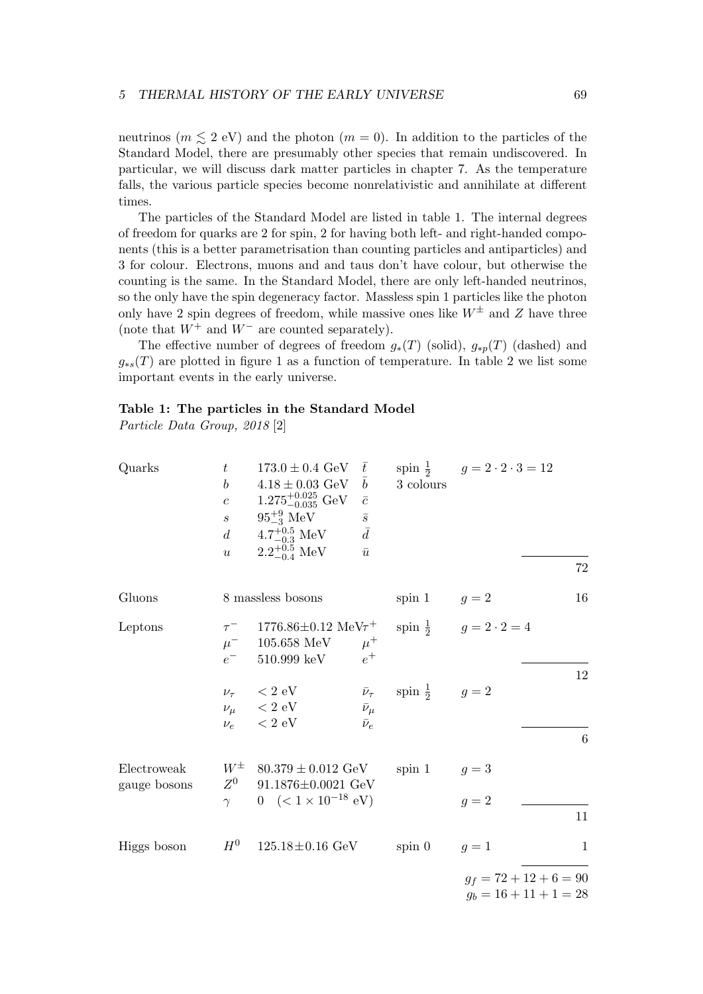neutrinos ( $m \leq 2$  eV) and the photon ( $m = 0$ ). In addition to the particles of the Standard Model, there are presumably other species that remain undiscovered. In particular, we will discuss dark matter particles in chapter 7. As the temperature falls, the various particle species become nonrelativistic and annihilate at different times.

The particles of the Standard Model are listed in table 1. The internal degrees of freedom for quarks are 2 for spin, 2 for having both left- and right-handed components (this is a better parametrisation than counting particles and antiparticles) and 3 for colour. Electrons, muons and and taus don't have colour, but otherwise the counting is the same. In the Standard Model, there are only left-handed neutrinos, so the only have the spin degeneracy factor. Massless spin 1 particles like the photon only have 2 spin degrees of freedom, while massive ones like  $W^{\pm}$  and Z have three (note that *W*<sup>+</sup> and *W<sup>−</sup>* are counted separately).

The effective number of degrees of freedom  $g_*(T)$  (solid),  $g_{*p}(T)$  (dashed) and  $g_{*s}(T)$  are plotted in figure 1 as a function of temperature. In table 2 we list some important events in the early universe.

# **Table 1: The particles in the Standard Model**

*Particle Data Group, 2018* [2]

| Quarks                      | $t\,$<br>$\boldsymbol{b}$<br>$\boldsymbol{c}$<br>$\mathcal{S}_{\mathcal{S}}$<br>d | $173.0 \pm 0.4 \text{ GeV}$<br>$4.18 \pm 0.03 \text{ GeV}$<br>$1.275_{-0.035}^{+0.025}$ GeV<br>$95^{+9}_{-3}$ MeV<br>$4.7^{+0.5}_{-0.3}~\rm{MeV}$ | $\bar{t}$<br>$\boldsymbol{b}$<br>$\bar{c}$<br>$\bar{s}$<br>$\bar{d}$ | 3 colours                | spin $\frac{1}{2}$ $g = 2 \cdot 2 \cdot 3 = 12$      |               |
|-----------------------------|-----------------------------------------------------------------------------------|---------------------------------------------------------------------------------------------------------------------------------------------------|----------------------------------------------------------------------|--------------------------|------------------------------------------------------|---------------|
|                             | $\boldsymbol{u}$                                                                  | $2.2^{+0.5}_{-0.4}$ MeV                                                                                                                           | $\bar{u}$                                                            |                          |                                                      | 72            |
| Gluons                      |                                                                                   | 8 massless bosons                                                                                                                                 |                                                                      | spin 1                   | $q=2$                                                | 16            |
| Leptons                     | $e^-$                                                                             | $\tau^-$ 1776.86±0.12 MeV $\tau^+$<br>$\mu^-$ – 105.658 MeV<br>510.999 keV $e^+$                                                                  | $\mu^+$                                                              |                          | spin $\frac{1}{2}$ $g = 2 \cdot 2 = 4$               |               |
|                             |                                                                                   | $\nu_{\tau}$ < 2 eV<br>$\nu_\mu$ < 2 eV<br>$\nu_e$ $~<$ 2 eV                                                                                      | $\bar{\nu}_{\tau}$<br>$\bar{\nu}_{\mu}$<br>$\bar{\nu}_e$             | spin $\frac{1}{2}$ $g=2$ |                                                      | 12<br>$\,6\,$ |
| Electroweak<br>gauge bosons | $W^{\pm}$<br>$Z^0$<br>$\gamma$                                                    | $80.379\pm0.012\,\,\text{GeV}$<br>$91.1876 \pm 0.0021$ GeV<br>$0 \ \ (< 1 \times 10^{-18} \ \mathrm{eV})$                                         |                                                                      | spin 1 $g = 3$           | $q=2$                                                | 11            |
| Higgs boson                 | $H^0$                                                                             | $125.18 \pm 0.16 \text{ GeV}$                                                                                                                     |                                                                      | $spin\ 0$                | $q=1$                                                | $\mathbf{1}$  |
|                             |                                                                                   |                                                                                                                                                   |                                                                      |                          | $g_f = 72 + 12 + 6 = 90$<br>$g_b = 16 + 11 + 1 = 28$ |               |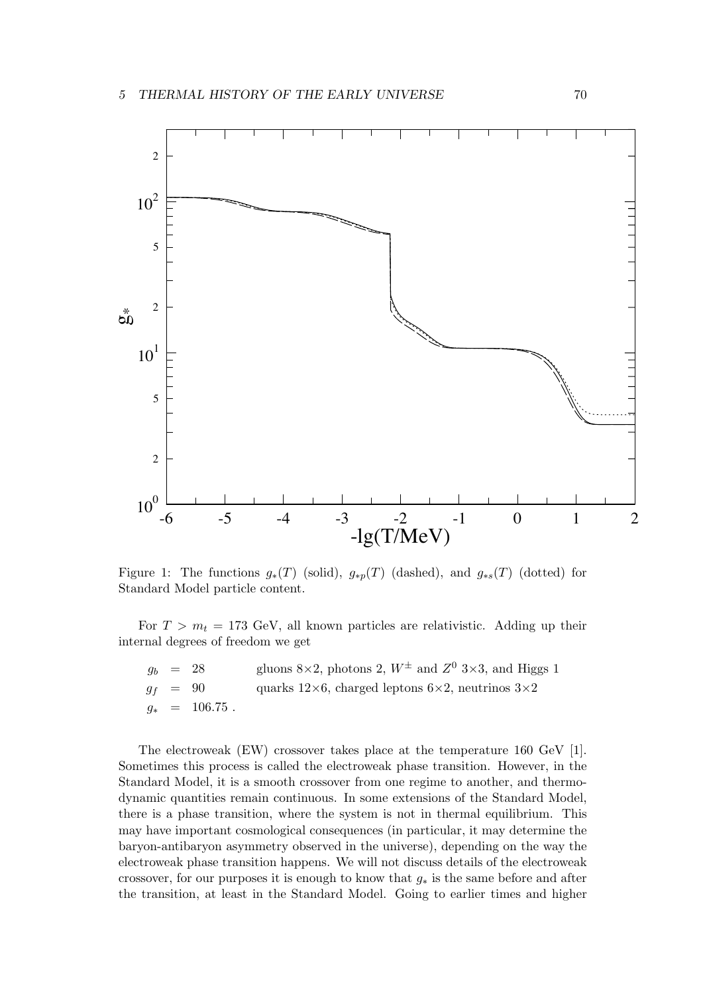

Figure 1: The functions  $g_*(T)$  (solid),  $g_{*p}(T)$  (dashed), and  $g_{*s}(T)$  (dotted) for Standard Model particle content.

For  $T > m_t = 173$  GeV, all known particles are relativistic. Adding up their internal degrees of freedom we get

|  | $g_b = 28$       | gluons 8×2, photons 2, $W^{\pm}$ and $Z^{0}$ 3×3, and Higgs 1          |
|--|------------------|------------------------------------------------------------------------|
|  | $g_f = 90$       | quarks $12\times6$ , charged leptons $6\times2$ , neutrinos $3\times2$ |
|  | $q_* = 106.75$ . |                                                                        |

The electroweak (EW) crossover takes place at the temperature 160 GeV [1]. Sometimes this process is called the electroweak phase transition. However, in the Standard Model, it is a smooth crossover from one regime to another, and thermodynamic quantities remain continuous. In some extensions of the Standard Model, there is a phase transition, where the system is not in thermal equilibrium. This may have important cosmological consequences (in particular, it may determine the baryon-antibaryon asymmetry observed in the universe), depending on the way the electroweak phase transition happens. We will not discuss details of the electroweak crossover, for our purposes it is enough to know that *g<sup>∗</sup>* is the same before and after the transition, at least in the Standard Model. Going to earlier times and higher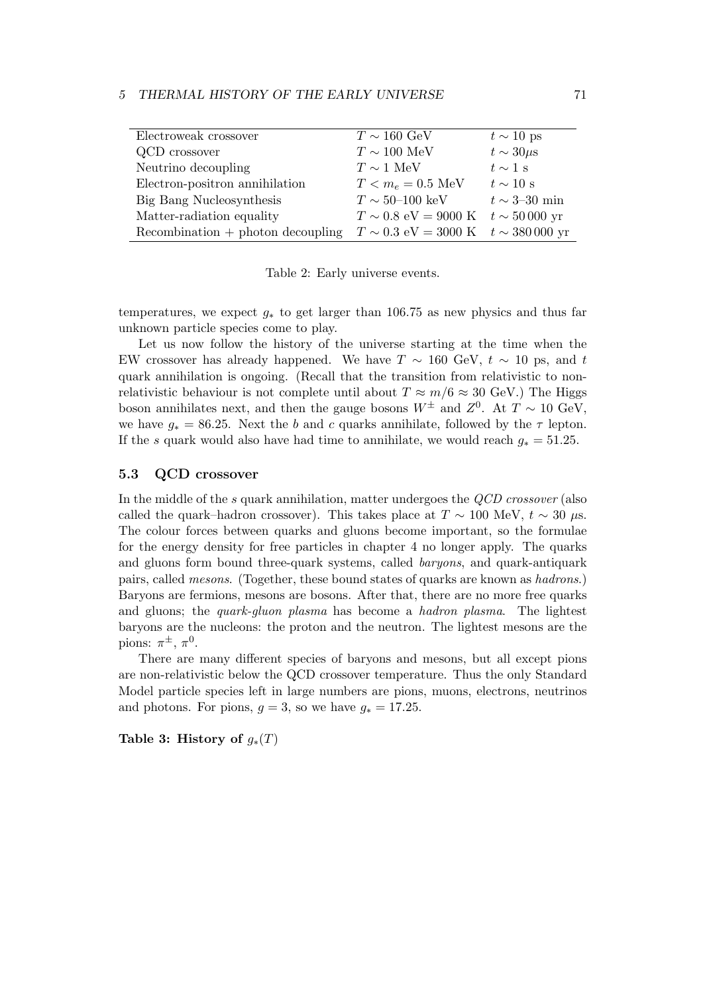| Electroweak crossover                | $T \sim 160 \text{ GeV}$                                            | $t \sim 10$ ps            |
|--------------------------------------|---------------------------------------------------------------------|---------------------------|
| QCD crossover                        | $T\sim 100~\mathrm{MeV}$                                            | $t \sim 30 \mu s$         |
| Neutrino decoupling                  | $T \sim 1$ MeV                                                      | $t \sim 1$ s              |
| Electron-positron annihilation       | $T < m_e = 0.5 \text{ MeV}$                                         | $t \sim 10$ s             |
| Big Bang Nucleosynthesis             | $T \sim 50\text{--}100 \text{ keV}$                                 | $t \sim 3\text{--}30$ min |
| Matter-radiation equality            | $T \sim 0.8$ eV = 9000 K $t \sim 50000$ yr                          |                           |
| $Recommendation + photon decoupling$ | $T \sim 0.3 \text{ eV} = 3000 \text{ K}$ $t \sim 380000 \text{ yr}$ |                           |

Table 2: Early universe events.

temperatures, we expect *g<sup>∗</sup>* to get larger than 106.75 as new physics and thus far unknown particle species come to play.

Let us now follow the history of the universe starting at the time when the EW crossover has already happened. We have  $T \sim 160$  GeV,  $t \sim 10$  ps, and  $t$ quark annihilation is ongoing. (Recall that the transition from relativistic to nonrelativistic behaviour is not complete until about  $T \approx m/6 \approx 30$  GeV.) The Higgs boson annihilates next, and then the gauge bosons  $W^{\pm}$  and  $Z^0$ . At  $T \sim 10 \text{ GeV}$ , we have  $g_* = 86.25$ . Next the *b* and *c* quarks annihilate, followed by the  $\tau$  lepton. If the *s* quark would also have had time to annihilate, we would reach  $g_* = 51.25$ .

## **5.3 QCD crossover**

In the middle of the *s* quark annihilation, matter undergoes the *QCD crossover* (also called the quark–hadron crossover). This takes place at  $T \sim 100$  MeV,  $t \sim 30 \mu s$ . The colour forces between quarks and gluons become important, so the formulae for the energy density for free particles in chapter 4 no longer apply. The quarks and gluons form bound three-quark systems, called *baryons*, and quark-antiquark pairs, called *mesons*. (Together, these bound states of quarks are known as *hadrons*.) Baryons are fermions, mesons are bosons. After that, there are no more free quarks and gluons; the *quark-gluon plasma* has become a *hadron plasma*. The lightest baryons are the nucleons: the proton and the neutron. The lightest mesons are the pions:  $\pi^{\pm}$ ,  $\pi^0$ .

There are many different species of baryons and mesons, but all except pions are non-relativistic below the QCD crossover temperature. Thus the only Standard Model particle species left in large numbers are pions, muons, electrons, neutrinos and photons. For pions,  $g = 3$ , so we have  $g_* = 17.25$ .

**Table 3: History of**  $g_*(T)$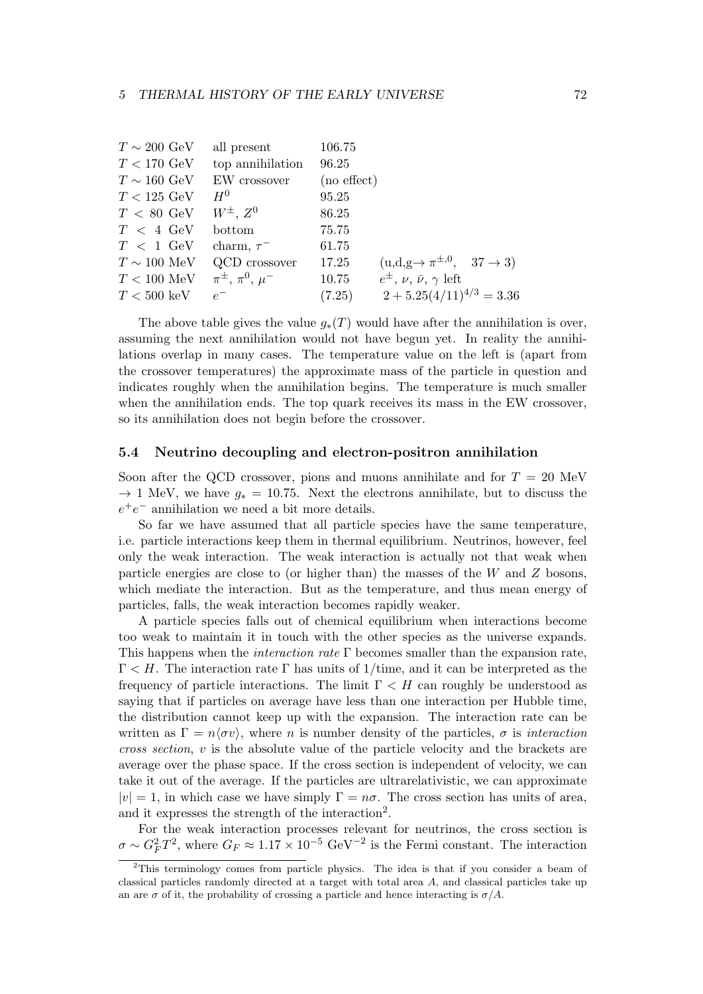| $T \sim 200 \text{ GeV}$ | all present               | 106.75           |                                                           |
|--------------------------|---------------------------|------------------|-----------------------------------------------------------|
| $T < 170 \text{ GeV}$    | top annihilation          | 96.25            |                                                           |
| $T \sim 160 \text{ GeV}$ | EW crossover              | $(no \, effect)$ |                                                           |
| $T < 125 \text{ GeV}$    | $H^0$                     | 95.25            |                                                           |
| $T < 80$ GeV             | $W^{\pm}$ , $Z^0$         | 86.25            |                                                           |
| $T < 4$ GeV              | bottom                    | 75.75            |                                                           |
| $T < 1$ GeV              | charm, $\tau^-$           | 61.75            |                                                           |
| $T \sim 100$ MeV         | QCD crossover             | 17.25            | $(u,d,g \rightarrow \pi^{\pm,0}, \quad 37 \rightarrow 3)$ |
| $T < 100$ MeV            | $\pi^{\pm}, \pi^0, \mu^-$ | 10.75            | $e^{\pm}, \nu, \bar{\nu}, \gamma$ left                    |
| $T < 500~\mathrm{keV}$   | $e^-$                     | (7.25)           | $2 + 5.25(4/11)^{4/3} = 3.36$                             |

The above table gives the value  $g_*(T)$  would have after the annihilation is over, assuming the next annihilation would not have begun yet. In reality the annihilations overlap in many cases. The temperature value on the left is (apart from the crossover temperatures) the approximate mass of the particle in question and indicates roughly when the annihilation begins. The temperature is much smaller when the annihilation ends. The top quark receives its mass in the EW crossover, so its annihilation does not begin before the crossover.

## **5.4 Neutrino decoupling and electron-positron annihilation**

Soon after the QCD crossover, pions and muons annihilate and for *T* = 20 MeV *→* 1 MeV, we have *g<sup>∗</sup>* = 10*.*75. Next the electrons annihilate, but to discuss the  $e^+e^-$  annihilation we need a bit more details.

So far we have assumed that all particle species have the same temperature, i.e. particle interactions keep them in thermal equilibrium. Neutrinos, however, feel only the weak interaction. The weak interaction is actually not that weak when particle energies are close to (or higher than) the masses of the *W* and *Z* bosons, which mediate the interaction. But as the temperature, and thus mean energy of particles, falls, the weak interaction becomes rapidly weaker.

A particle species falls out of chemical equilibrium when interactions become too weak to maintain it in touch with the other species as the universe expands. This happens when the *interaction rate* Γ becomes smaller than the expansion rate, Γ *< H*. The interaction rate Γ has units of 1/time, and it can be interpreted as the frequency of particle interactions. The limit  $\Gamma < H$  can roughly be understood as saying that if particles on average have less than one interaction per Hubble time, the distribution cannot keep up with the expansion. The interaction rate can be written as  $\Gamma = n \langle \sigma v \rangle$ , where *n* is number density of the particles,  $\sigma$  is *interaction cross section*, *v* is the absolute value of the particle velocity and the brackets are average over the phase space. If the cross section is independent of velocity, we can take it out of the average. If the particles are ultrarelativistic, we can approximate  $|v| = 1$ , in which case we have simply  $\Gamma = n\sigma$ . The cross section has units of area, and it expresses the strength of the interaction<sup>2</sup>.

For the weak interaction processes relevant for neutrinos, the cross section is  $\sigma \sim G_F^2 T^2$ , where  $G_F \approx 1.17 \times 10^{-5} \text{ GeV}^{-2}$  is the Fermi constant. The interaction

<sup>&</sup>lt;sup>2</sup>This terminology comes from particle physics. The idea is that if you consider a beam of classical particles randomly directed at a target with total area *A*, and classical particles take up an are  $\sigma$  of it, the probability of crossing a particle and hence interacting is  $\sigma/A$ .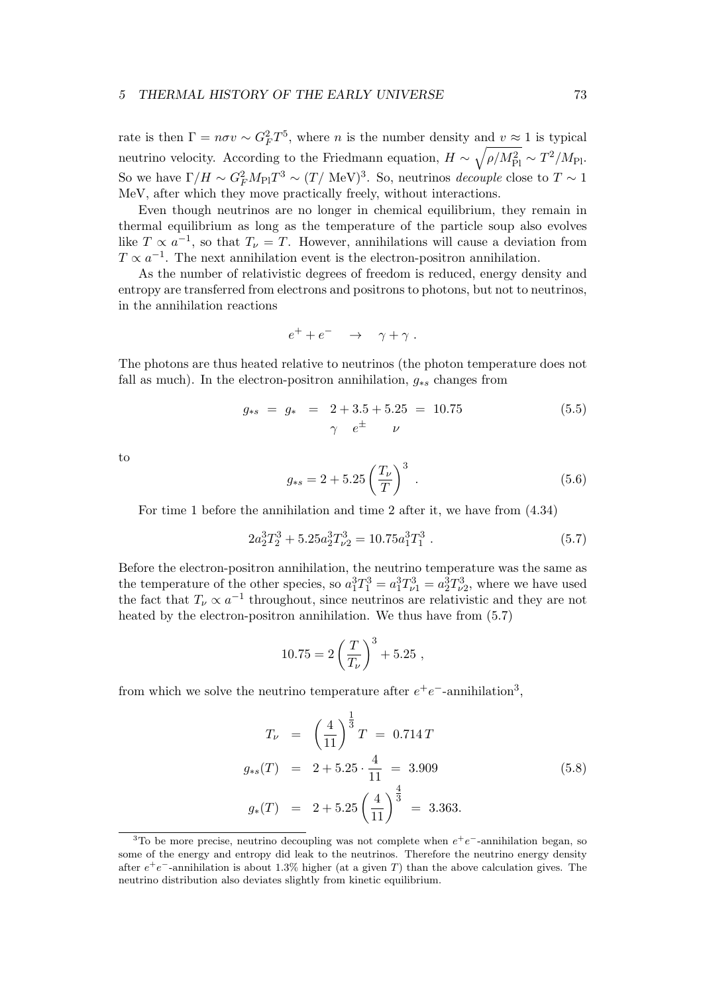rate is then  $\Gamma = n\sigma v \sim G_F^2 T^5$ , where *n* is the number density and  $v \approx 1$  is typical neutrino velocity. According to the Friedmann equation,  $H \sim \sqrt{\rho/M_{\rm Pl}^2} \sim T^2/M_{\rm Pl}$ . So we have  $\Gamma/H \sim G_F^2 M_{\rm Pl} T^3 \sim (T/\text{ MeV})^3$ . So, neutrinos *decouple* close to  $T \sim 1$ MeV, after which they move practically freely, without interactions.

Even though neutrinos are no longer in chemical equilibrium, they remain in thermal equilibrium as long as the temperature of the particle soup also evolves like  $T \propto a^{-1}$ , so that  $T_{\nu} = T$ . However, annihilations will cause a deviation from  $T \propto a^{-1}$ . The next annihilation event is the electron-positron annihilation.

As the number of relativistic degrees of freedom is reduced, energy density and entropy are transferred from electrons and positrons to photons, but not to neutrinos, in the annihilation reactions

$$
e^+ + e^- \quad \rightarrow \quad \gamma + \gamma \; .
$$

The photons are thus heated relative to neutrinos (the photon temperature does not fall as much). In the electron-positron annihilation,  $g_{*s}$  changes from

$$
g_{*s} = g_* = 2 + 3.5 + 5.25 = 10.75
$$
\n
$$
\gamma e^{\pm} \nu
$$
\n(5.5)

to

$$
g_{*s} = 2 + 5.25 \left(\frac{T_{\nu}}{T}\right)^3 \tag{5.6}
$$

For time 1 before the annihilation and time 2 after it, we have from (4.34)

$$
2a_2^3T_2^3 + 5.25a_2^3T_{\nu 2}^3 = 10.75a_1^3T_1^3 \tag{5.7}
$$

Before the electron-positron annihilation, the neutrino temperature was the same as the temperature of the other species, so  $a_1^3 T_1^3 = a_1^3 T_{\nu 1}^3 = a_2^3 T_{\nu 2}^3$ , where we have used the fact that  $T_\nu \propto a^{-1}$  throughout, since neutrinos are relativistic and they are not heated by the electron-positron annihilation. We thus have from (5.7)

$$
10.75 = 2\left(\frac{T}{T_{\nu}}\right)^3 + 5.25,
$$

from which we solve the neutrino temperature after  $e^+e^-$ -annihilation<sup>3</sup>,

$$
T_{\nu} = \left(\frac{4}{11}\right)^{\frac{1}{3}}T = 0.714T
$$
  
\n
$$
g_{*s}(T) = 2 + 5.25 \cdot \frac{4}{11} = 3.909
$$
  
\n
$$
g_{*}(T) = 2 + 5.25 \left(\frac{4}{11}\right)^{\frac{4}{3}} = 3.363.
$$
\n(5.8)

<sup>&</sup>lt;sup>3</sup>To be more precise, neutrino decoupling was not complete when  $e^+e^-$ -annihilation began, so some of the energy and entropy did leak to the neutrinos. Therefore the neutrino energy density after *e* +*e <sup>−</sup>*-annihilation is about 1.3% higher (at a given *T*) than the above calculation gives. The neutrino distribution also deviates slightly from kinetic equilibrium.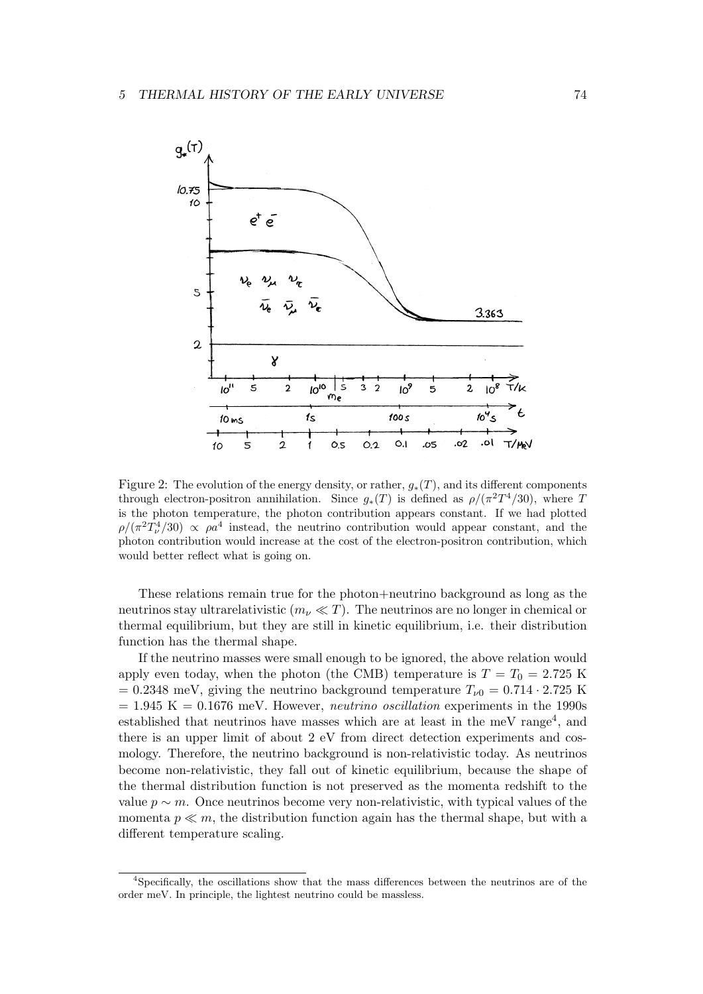

Figure 2: The evolution of the energy density, or rather, *g∗*(*T*), and its different components through electron-positron annihilation. Since  $g_*(T)$  is defined as  $\rho/(\pi^2T^4/30)$ , where *T* is the photon temperature, the photon contribution appears constant. If we had plotted  $\rho/(\pi^2 T_\nu^4/30) \propto \rho a^4$  instead, the neutrino contribution would appear constant, and the photon contribution would increase at the cost of the electron-positron contribution, which would better reflect what is going on.

These relations remain true for the photon+neutrino background as long as the neutrinos stay ultrarelativistic  $(m_\nu \ll T)$ . The neutrinos are no longer in chemical or thermal equilibrium, but they are still in kinetic equilibrium, i.e. their distribution function has the thermal shape.

If the neutrino masses were small enough to be ignored, the above relation would apply even today, when the photon (the CMB) temperature is  $T = T_0 = 2.725$  K  $= 0.2348$  meV, giving the neutrino background temperature  $T_{\nu 0} = 0.714 \cdot 2.725$  K  $= 1.945$  K  $= 0.1676$  meV. However, *neutrino* oscillation experiments in the 1990s established that neutrinos have masses which are at least in the meV range<sup>4</sup>, and there is an upper limit of about 2 eV from direct detection experiments and cosmology. Therefore, the neutrino background is non-relativistic today. As neutrinos become non-relativistic, they fall out of kinetic equilibrium, because the shape of the thermal distribution function is not preserved as the momenta redshift to the value  $p \sim m$ . Once neutrinos become very non-relativistic, with typical values of the momenta  $p \ll m$ , the distribution function again has the thermal shape, but with a different temperature scaling.

<sup>4</sup>Specifically, the oscillations show that the mass differences between the neutrinos are of the order meV. In principle, the lightest neutrino could be massless.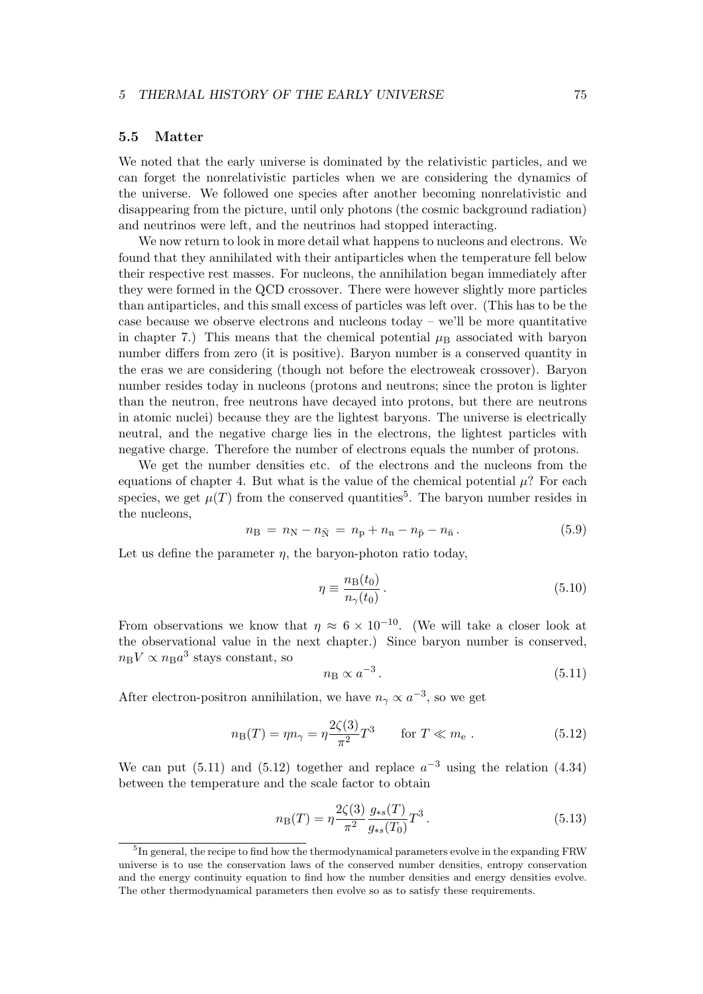## **5.5 Matter**

We noted that the early universe is dominated by the relativistic particles, and we can forget the nonrelativistic particles when we are considering the dynamics of the universe. We followed one species after another becoming nonrelativistic and disappearing from the picture, until only photons (the cosmic background radiation) and neutrinos were left, and the neutrinos had stopped interacting.

We now return to look in more detail what happens to nucleons and electrons. We found that they annihilated with their antiparticles when the temperature fell below their respective rest masses. For nucleons, the annihilation began immediately after they were formed in the QCD crossover. There were however slightly more particles than antiparticles, and this small excess of particles was left over. (This has to be the case because we observe electrons and nucleons today – we'll be more quantitative in chapter 7.) This means that the chemical potential  $\mu_B$  associated with baryon number differs from zero (it is positive). Baryon number is a conserved quantity in the eras we are considering (though not before the electroweak crossover). Baryon number resides today in nucleons (protons and neutrons; since the proton is lighter than the neutron, free neutrons have decayed into protons, but there are neutrons in atomic nuclei) because they are the lightest baryons. The universe is electrically neutral, and the negative charge lies in the electrons, the lightest particles with negative charge. Therefore the number of electrons equals the number of protons.

We get the number densities etc. of the electrons and the nucleons from the equations of chapter 4. But what is the value of the chemical potential  $\mu$ ? For each species, we get  $\mu(T)$  from the conserved quantities<sup>5</sup>. The baryon number resides in the nucleons,

$$
n_{\rm B} = n_{\rm N} - n_{\bar{\rm N}} = n_{\rm p} + n_{\rm n} - n_{\bar{\rm p}} - n_{\bar{\rm n}}. \tag{5.9}
$$

Let us define the parameter  $\eta$ , the baryon-photon ratio today,

$$
\eta \equiv \frac{n_{\rm B}(t_0)}{n_{\gamma}(t_0)}\,. \tag{5.10}
$$

From observations we know that  $\eta \approx 6 \times 10^{-10}$ . (We will take a closer look at the observational value in the next chapter.) Since baryon number is conserved,  $n_{\rm B}V \propto n_{\rm B}a^3$  stays constant, so

$$
n_{\rm B} \propto a^{-3} \,. \tag{5.11}
$$

After electron-positron annihilation, we have  $n<sub>\gamma</sub> \propto a^{-3}$ , so we get

$$
n_{\rm B}(T) = \eta n_{\gamma} = \eta \frac{2\zeta(3)}{\pi^2} T^3 \qquad \text{for } T \ll m_{\rm e} \; . \tag{5.12}
$$

We can put (5.11) and (5.12) together and replace  $a^{-3}$  using the relation (4.34) between the temperature and the scale factor to obtain

$$
n_{\rm B}(T) = \eta \frac{2\zeta(3)}{\pi^2} \frac{g_{*s}(T)}{g_{*s}(T_0)} T^3.
$$
\n(5.13)

<sup>&</sup>lt;sup>5</sup>In general, the recipe to find how the thermodynamical parameters evolve in the expanding FRW universe is to use the conservation laws of the conserved number densities, entropy conservation and the energy continuity equation to find how the number densities and energy densities evolve. The other thermodynamical parameters then evolve so as to satisfy these requirements.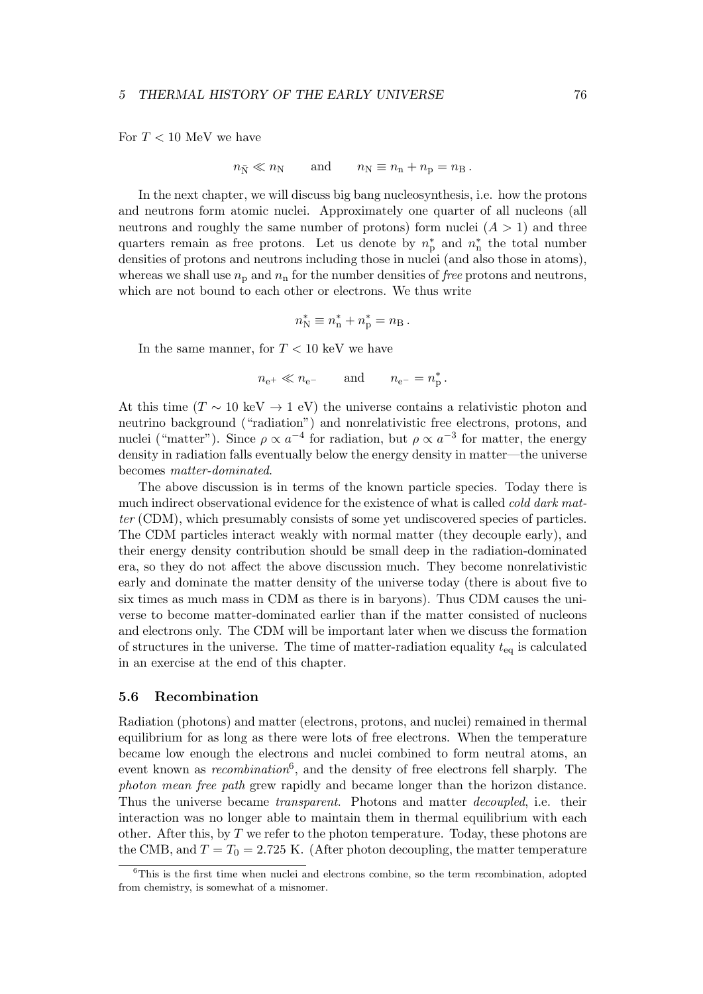For  $T < 10$  MeV we have

$$
n_{\bar{N}} \ll n_N
$$
 and  $n_N \equiv n_n + n_p = n_B$ .

In the next chapter, we will discuss big bang nucleosynthesis, i.e. how the protons and neutrons form atomic nuclei. Approximately one quarter of all nucleons (all neutrons and roughly the same number of protons) form nuclei  $(A > 1)$  and three quarters remain as free protons. Let us denote by  $n_p^*$  and  $n_n^*$  the total number densities of protons and neutrons including those in nuclei (and also those in atoms), whereas we shall use  $n_p$  and  $n_n$  for the number densities of *free* protons and neutrons, which are not bound to each other or electrons. We thus write

$$
n_{\rm N}^* \equiv n_{\rm n}^* + n_{\rm p}^* = n_{\rm B}.
$$

In the same manner, for  $T < 10 \text{ keV}$  we have

$$
n_{e^+} \ll n_{e^-}
$$
 and  $n_{e^-} = n_p^*$ .

At this time ( $T \sim 10 \text{ keV} \rightarrow 1 \text{ eV}$ ) the universe contains a relativistic photon and neutrino background ("radiation") and nonrelativistic free electrons, protons, and nuclei ("matter"). Since  $\rho \propto a^{-4}$  for radiation, but  $\rho \propto a^{-3}$  for matter, the energy density in radiation falls eventually below the energy density in matter—the universe becomes *matter-dominated*.

The above discussion is in terms of the known particle species. Today there is much indirect observational evidence for the existence of what is called *cold dark matter* (CDM), which presumably consists of some yet undiscovered species of particles. The CDM particles interact weakly with normal matter (they decouple early), and their energy density contribution should be small deep in the radiation-dominated era, so they do not affect the above discussion much. They become nonrelativistic early and dominate the matter density of the universe today (there is about five to six times as much mass in CDM as there is in baryons). Thus CDM causes the universe to become matter-dominated earlier than if the matter consisted of nucleons and electrons only. The CDM will be important later when we discuss the formation of structures in the universe. The time of matter-radiation equality *t*eq is calculated in an exercise at the end of this chapter.

## **5.6 Recombination**

Radiation (photons) and matter (electrons, protons, and nuclei) remained in thermal equilibrium for as long as there were lots of free electrons. When the temperature became low enough the electrons and nuclei combined to form neutral atoms, an event known as *recombination*<sup>6</sup> , and the density of free electrons fell sharply. The *photon mean free path* grew rapidly and became longer than the horizon distance. Thus the universe became *transparent*. Photons and matter *decoupled*, i.e. their interaction was no longer able to maintain them in thermal equilibrium with each other. After this, by *T* we refer to the photon temperature. Today, these photons are the CMB, and  $T = T_0 = 2.725$  K. (After photon decoupling, the matter temperature

<sup>6</sup>This is the first time when nuclei and electrons combine, so the term *re*combination, adopted from chemistry, is somewhat of a misnomer.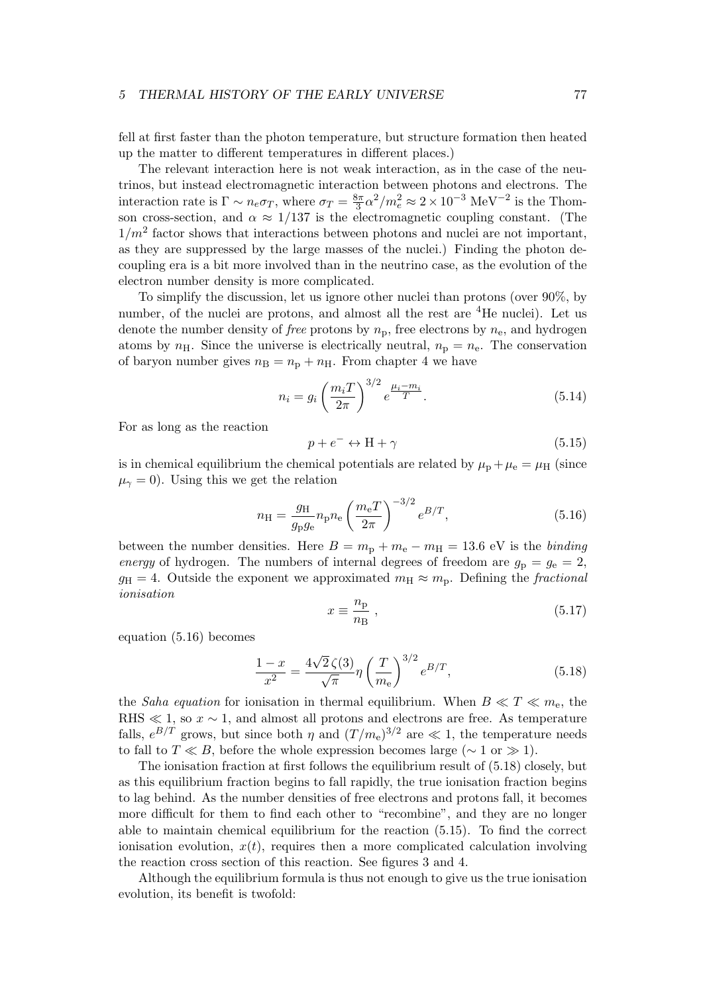fell at first faster than the photon temperature, but structure formation then heated up the matter to different temperatures in different places.)

The relevant interaction here is not weak interaction, as in the case of the neutrinos, but instead electromagnetic interaction between photons and electrons. The interaction rate is  $\Gamma \sim n_e \sigma_T$ , where  $\sigma_T = \frac{8\pi}{3}$  $\frac{3\pi}{3}\alpha^2/m_e^2 \approx 2 \times 10^{-3} \text{ MeV}^{-2}$  is the Thomson cross-section, and  $\alpha \approx 1/137$  is the electromagnetic coupling constant. (The  $1/m^2$  factor shows that interactions between photons and nuclei are not important, as they are suppressed by the large masses of the nuclei.) Finding the photon decoupling era is a bit more involved than in the neutrino case, as the evolution of the electron number density is more complicated.

To simplify the discussion, let us ignore other nuclei than protons (over 90%, by number, of the nuclei are protons, and almost all the rest are <sup>4</sup>He nuclei). Let us denote the number density of *free* protons by  $n_p$ , free electrons by  $n_e$ , and hydrogen atoms by  $n_{\rm H}$ . Since the universe is electrically neutral,  $n_{\rm p} = n_{\rm e}$ . The conservation of baryon number gives  $n_B = n_p + n_H$ . From chapter 4 we have

$$
n_i = g_i \left(\frac{m_i T}{2\pi}\right)^{3/2} e^{\frac{\mu_i - m_i}{T}}.
$$
\n(5.14)

For as long as the reaction

$$
p + e^- \leftrightarrow H + \gamma \tag{5.15}
$$

is in chemical equilibrium the chemical potentials are related by  $\mu_{\rm p} + \mu_{\rm e} = \mu_{\rm H}$  (since  $\mu_{\gamma} = 0$ ). Using this we get the relation

$$
n_{\rm H} = \frac{g_{\rm H}}{g_{\rm p}g_{\rm e}} n_{\rm p} n_{\rm e} \left(\frac{m_{\rm e}T}{2\pi}\right)^{-3/2} e^{B/T},\tag{5.16}
$$

between the number densities. Here  $B = m_{\rm p} + m_{\rm e} - m_{\rm H} = 13.6$  eV is the *binding energy* of hydrogen. The numbers of internal degrees of freedom are  $g_p = g_e = 2$ ,  $g_{\rm H} = 4$ . Outside the exponent we approximated  $m_{\rm H} \approx m_{\rm p}$ . Defining the *fractional ionisation*

$$
x \equiv \frac{n_{\rm p}}{n_{\rm B}} \,,\tag{5.17}
$$

equation (5.16) becomes

$$
\frac{1-x}{x^2} = \frac{4\sqrt{2}\,\zeta(3)}{\sqrt{\pi}}\eta\left(\frac{T}{m_e}\right)^{3/2}e^{B/T},\tag{5.18}
$$

the *Saha equation* for ionisation in thermal equilibrium. When  $B \ll T \ll m_e$ , the RHS  $\ll$  1, so  $x \sim$  1, and almost all protons and electrons are free. As temperature falls,  $e^{B/T}$  grows, but since both *η* and  $(T/m_e)^{3/2}$  are  $\ll 1$ , the temperature needs to fall to  $T \ll B$ , before the whole expression becomes large ( $\sim 1$  or  $\gg 1$ ).

The ionisation fraction at first follows the equilibrium result of (5.18) closely, but as this equilibrium fraction begins to fall rapidly, the true ionisation fraction begins to lag behind. As the number densities of free electrons and protons fall, it becomes more difficult for them to find each other to "recombine", and they are no longer able to maintain chemical equilibrium for the reaction (5.15). To find the correct ionisation evolution,  $x(t)$ , requires then a more complicated calculation involving the reaction cross section of this reaction. See figures 3 and 4.

Although the equilibrium formula is thus not enough to give us the true ionisation evolution, its benefit is twofold: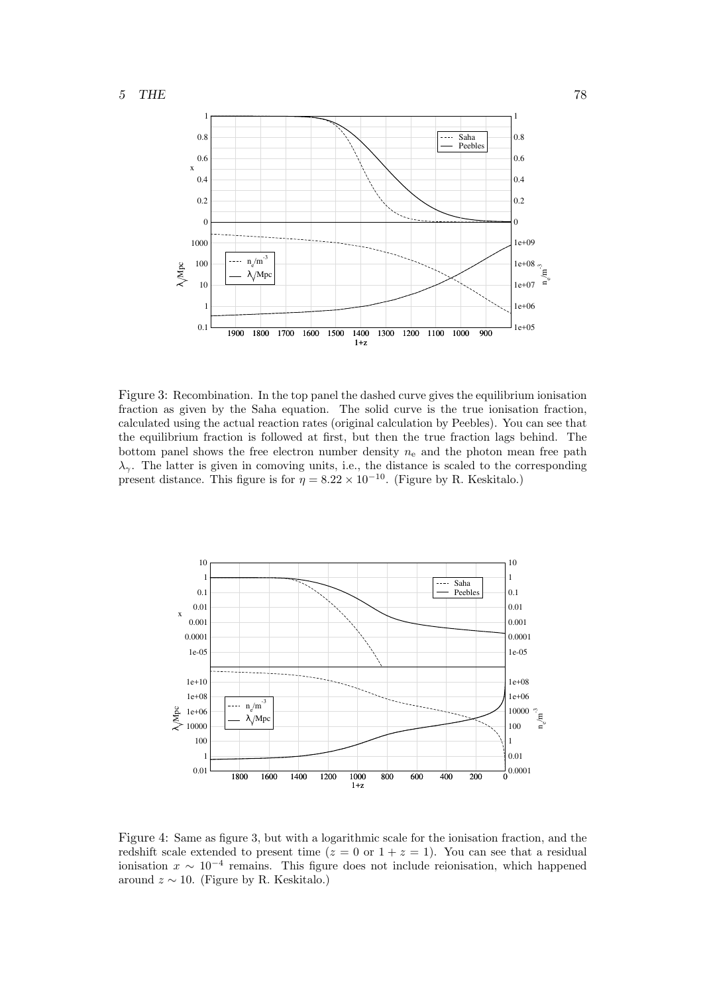

Figure 3: Recombination. In the top panel the dashed curve gives the equilibrium ionisation fraction as given by the Saha equation. The solid curve is the true ionisation fraction, calculated using the actual reaction rates (original calculation by Peebles). You can see that the equilibrium fraction is followed at first, but then the true fraction lags behind. The bottom panel shows the free electron number density  $n_e$  and the photon mean free path  $λ<sub>γ</sub>$ . The latter is given in comoving units, i.e., the distance is scaled to the corresponding present distance. This figure is for  $\eta = 8.22 \times 10^{-10}$ . (Figure by R. Keskitalo.)



Figure 4: Same as figure 3, but with a logarithmic scale for the ionisation fraction, and the redshift scale extended to present time  $(z = 0 \text{ or } 1 + z = 1)$ . You can see that a residual ionisation  $x \sim 10^{-4}$  remains. This figure does not include reionisation, which happened around  $z \sim 10$ . (Figure by R. Keskitalo.)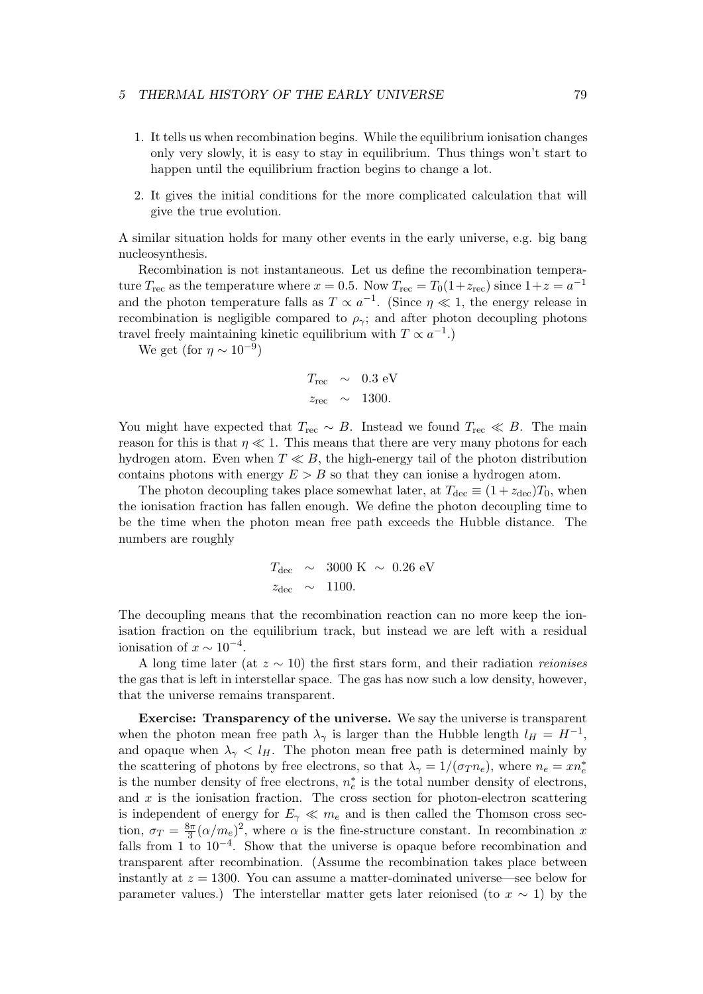- 1. It tells us when recombination begins. While the equilibrium ionisation changes only very slowly, it is easy to stay in equilibrium. Thus things won't start to happen until the equilibrium fraction begins to change a lot.
- 2. It gives the initial conditions for the more complicated calculation that will give the true evolution.

A similar situation holds for many other events in the early universe, e.g. big bang nucleosynthesis.

Recombination is not instantaneous. Let us define the recombination temperature  $T_{\text{rec}}$  as the temperature where  $x = 0.5$ . Now  $T_{\text{rec}} = T_0(1+z_{\text{rec}})$  since  $1+z=a^{-1}$ and the photon temperature falls as  $T \propto a^{-1}$ . (Since  $\eta \ll 1$ , the energy release in recombination is negligible compared to  $\rho_{\gamma}$ ; and after photon decoupling photons travel freely maintaining kinetic equilibrium with  $T \propto a^{-1}$ .)

We get (for  $\eta \sim 10^{-9}$ )

$$
T_{\text{rec}} \sim 0.3 \text{ eV}
$$
  

$$
z_{\text{rec}} \sim 1300.
$$

You might have expected that  $T_{\text{rec}} \sim B$ . Instead we found  $T_{\text{rec}} \ll B$ . The main reason for this is that  $\eta \ll 1$ . This means that there are very many photons for each hydrogen atom. Even when *T ≪ B*, the high-energy tail of the photon distribution contains photons with energy  $E > B$  so that they can ionise a hydrogen atom.

The photon decoupling takes place somewhat later, at  $T_{\text{dec}} \equiv (1 + z_{\text{dec}})T_0$ , when the ionisation fraction has fallen enough. We define the photon decoupling time to be the time when the photon mean free path exceeds the Hubble distance. The numbers are roughly

$$
T_{\text{dec}} \sim 3000 \text{ K} \sim 0.26 \text{ eV}
$$
  

$$
z_{\text{dec}} \sim 1100.
$$

The decoupling means that the recombination reaction can no more keep the ionisation fraction on the equilibrium track, but instead we are left with a residual ionisation of  $x \sim 10^{-4}$ .

A long time later (at *z ∼* 10) the first stars form, and their radiation *reionises* the gas that is left in interstellar space. The gas has now such a low density, however, that the universe remains transparent.

**Exercise: Transparency of the universe.** We say the universe is transparent when the photon mean free path  $\lambda_{\gamma}$  is larger than the Hubble length  $l_H = H^{-1}$ , and opaque when  $\lambda_{\gamma} < l_H$ . The photon mean free path is determined mainly by the scattering of photons by free electrons, so that  $\lambda_{\gamma} = 1/(\sigma_{T} n_e)$ , where  $n_e = x n_e^*$ is the number density of free electrons,  $n_e^*$  is the total number density of electrons, and *x* is the ionisation fraction. The cross section for photon-electron scattering is independent of energy for  $E_\gamma \ll m_e$  and is then called the Thomson cross section,  $\sigma_T = \frac{8\pi}{3}$  $\frac{3\pi}{3}(\alpha/m_e)^2$ , where  $\alpha$  is the fine-structure constant. In recombination *x* falls from 1 to 10*−*<sup>4</sup> . Show that the universe is opaque before recombination and transparent after recombination. (Assume the recombination takes place between instantly at *z* = 1300. You can assume a matter-dominated universe—see below for parameter values.) The interstellar matter gets later reionised (to  $x \sim 1$ ) by the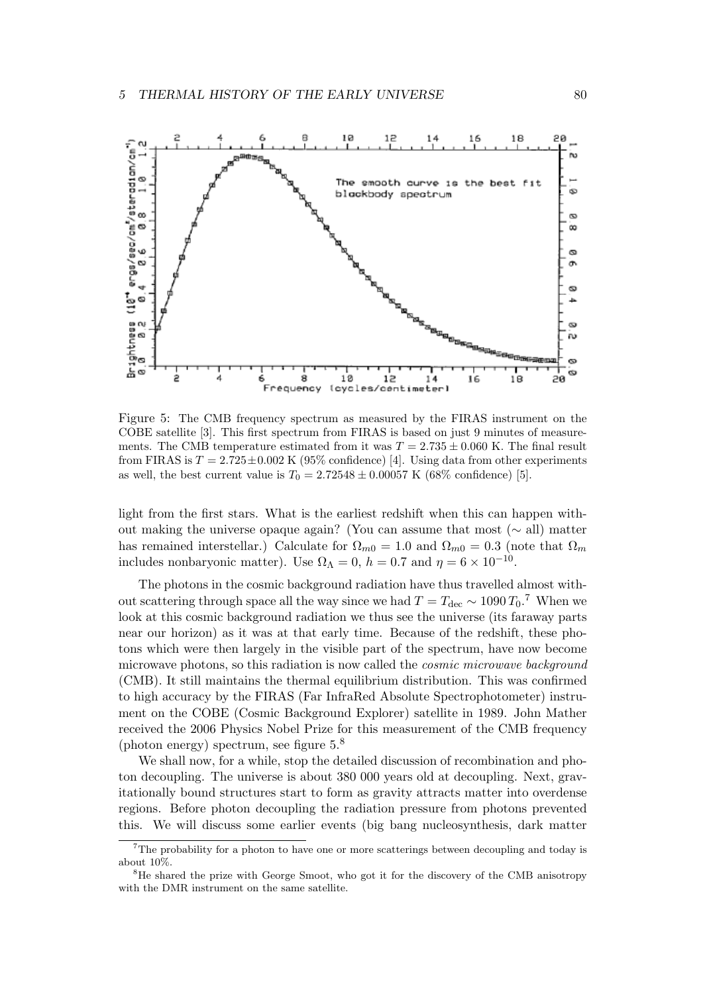

Figure 5: The CMB frequency spectrum as measured by the FIRAS instrument on the COBE satellite [3]. This first spectrum from FIRAS is based on just 9 minutes of measurements. The CMB temperature estimated from it was  $T = 2.735 \pm 0.060$  K. The final result from FIRAS is  $T = 2.725 \pm 0.002$  K (95% confidence) [4]. Using data from other experiments as well, the best current value is  $T_0 = 2.72548 \pm 0.00057$  K (68% confidence) [5].

light from the first stars. What is the earliest redshift when this can happen without making the universe opaque again? (You can assume that most (*∼* all) matter has remained interstellar.) Calculate for  $\Omega_{m0} = 1.0$  and  $\Omega_{m0} = 0.3$  (note that  $\Omega_m$ includes nonbaryonic matter). Use  $\Omega_{\Lambda} = 0$ ,  $h = 0.7$  and  $\eta = 6 \times 10^{-10}$ .

The photons in the cosmic background radiation have thus travelled almost without scattering through space all the way since we had  $T = T_{\text{dec}} \sim 1090 T_0$ .<sup>7</sup> When we look at this cosmic background radiation we thus see the universe (its faraway parts near our horizon) as it was at that early time. Because of the redshift, these photons which were then largely in the visible part of the spectrum, have now become microwave photons, so this radiation is now called the *cosmic microwave background* (CMB). It still maintains the thermal equilibrium distribution. This was confirmed to high accuracy by the FIRAS (Far InfraRed Absolute Spectrophotometer) instrument on the COBE (Cosmic Background Explorer) satellite in 1989. John Mather received the 2006 Physics Nobel Prize for this measurement of the CMB frequency (photon energy) spectrum, see figure  $5<sup>8</sup>$ 

We shall now, for a while, stop the detailed discussion of recombination and photon decoupling. The universe is about 380 000 years old at decoupling. Next, gravitationally bound structures start to form as gravity attracts matter into overdense regions. Before photon decoupling the radiation pressure from photons prevented this. We will discuss some earlier events (big bang nucleosynthesis, dark matter

 $7$ The probability for a photon to have one or more scatterings between decoupling and today is about 10%.

<sup>&</sup>lt;sup>8</sup>He shared the prize with George Smoot, who got it for the discovery of the CMB anisotropy with the DMR instrument on the same satellite.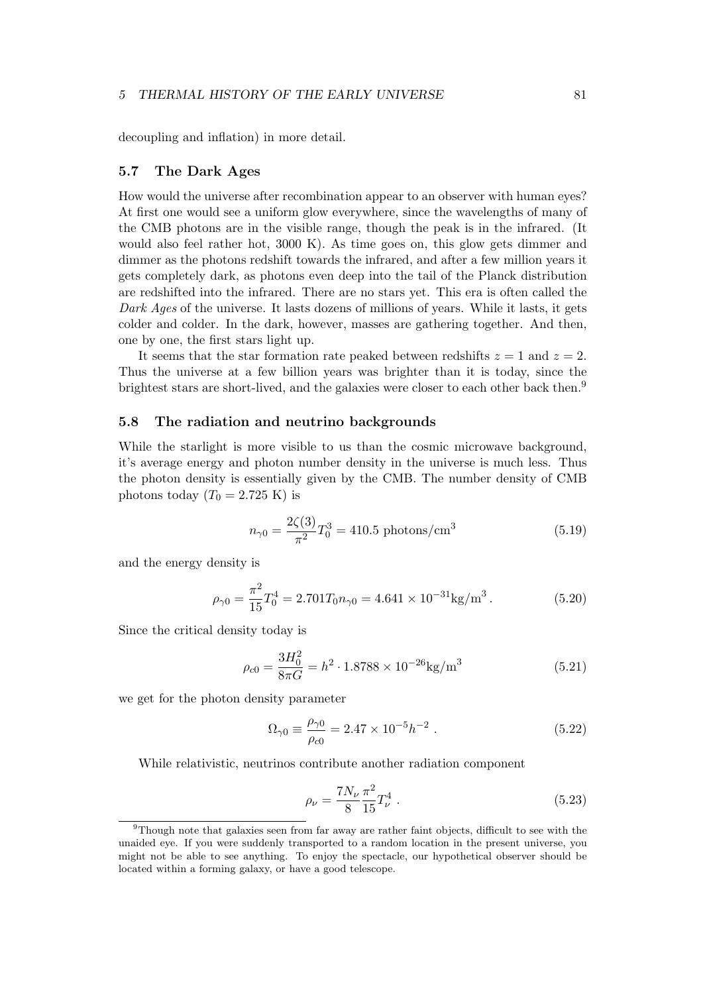decoupling and inflation) in more detail.

## **5.7 The Dark Ages**

How would the universe after recombination appear to an observer with human eyes? At first one would see a uniform glow everywhere, since the wavelengths of many of the CMB photons are in the visible range, though the peak is in the infrared. (It would also feel rather hot, 3000 K). As time goes on, this glow gets dimmer and dimmer as the photons redshift towards the infrared, and after a few million years it gets completely dark, as photons even deep into the tail of the Planck distribution are redshifted into the infrared. There are no stars yet. This era is often called the *Dark Ages* of the universe. It lasts dozens of millions of years. While it lasts, it gets colder and colder. In the dark, however, masses are gathering together. And then, one by one, the first stars light up.

It seems that the star formation rate peaked between redshifts  $z = 1$  and  $z = 2$ . Thus the universe at a few billion years was brighter than it is today, since the brightest stars are short-lived, and the galaxies were closer to each other back then.<sup>9</sup>

# **5.8 The radiation and neutrino backgrounds**

While the starlight is more visible to us than the cosmic microwave background, it's average energy and photon number density in the universe is much less. Thus the photon density is essentially given by the CMB. The number density of CMB photons today  $(T_0 = 2.725 \text{ K})$  is

$$
n_{\gamma 0} = \frac{2\zeta(3)}{\pi^2} T_0^3 = 410.5 \text{ photons/cm}^3 \tag{5.19}
$$

and the energy density is

$$
\rho_{\gamma 0} = \frac{\pi^2}{15} T_0^4 = 2.701 T_0 n_{\gamma 0} = 4.641 \times 10^{-31} \text{kg/m}^3. \tag{5.20}
$$

Since the critical density today is

$$
\rho_{c0} = \frac{3H_0^2}{8\pi G} = h^2 \cdot 1.8788 \times 10^{-26} \text{kg/m}^3 \tag{5.21}
$$

we get for the photon density parameter

$$
\Omega_{\gamma 0} \equiv \frac{\rho_{\gamma 0}}{\rho_{c0}} = 2.47 \times 10^{-5} h^{-2} . \qquad (5.22)
$$

While relativistic, neutrinos contribute another radiation component

$$
\rho_{\nu} = \frac{7N_{\nu}}{8} \frac{\pi^2}{15} T_{\nu}^4 \tag{5.23}
$$

<sup>&</sup>lt;sup>9</sup>Though note that galaxies seen from far away are rather faint objects, difficult to see with the unaided eye. If you were suddenly transported to a random location in the present universe, you might not be able to see anything. To enjoy the spectacle, our hypothetical observer should be located within a forming galaxy, or have a good telescope.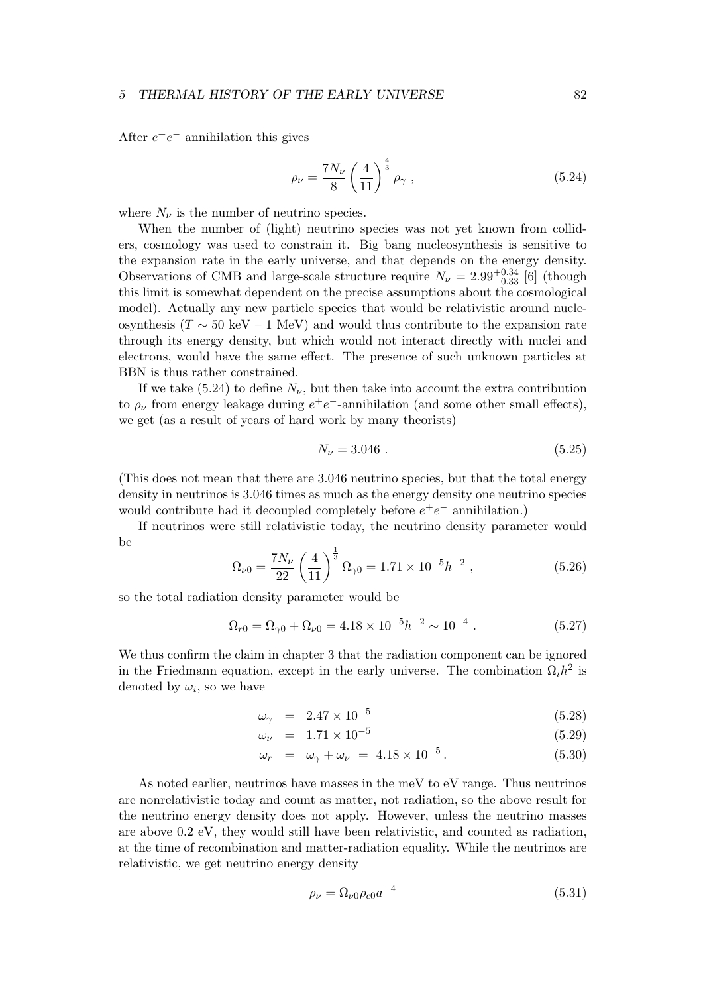After  $e^+e^-$  annihilation this gives

$$
\rho_{\nu} = \frac{7N_{\nu}}{8} \left(\frac{4}{11}\right)^{\frac{4}{3}} \rho_{\gamma} , \qquad (5.24)
$$

where  $N_{\nu}$  is the number of neutrino species.

When the number of (light) neutrino species was not yet known from colliders, cosmology was used to constrain it. Big bang nucleosynthesis is sensitive to the expansion rate in the early universe, and that depends on the energy density. Observations of CMB and large-scale structure require  $N_{\nu} = 2.99_{-0.33}^{+0.34}$  [6] (though this limit is somewhat dependent on the precise assumptions about the cosmological model). Actually any new particle species that would be relativistic around nucleosynthesis ( $T \sim 50 \text{ keV} - 1 \text{ MeV}$ ) and would thus contribute to the expansion rate through its energy density, but which would not interact directly with nuclei and electrons, would have the same effect. The presence of such unknown particles at BBN is thus rather constrained.

If we take (5.24) to define  $N_{\nu}$ , but then take into account the extra contribution to  $\rho_{\nu}$  from energy leakage during  $e^+e^-$ -annihilation (and some other small effects), we get (as a result of years of hard work by many theorists)

$$
N_{\nu} = 3.046 \tag{5.25}
$$

(This does not mean that there are 3.046 neutrino species, but that the total energy density in neutrinos is 3.046 times as much as the energy density one neutrino species would contribute had it decoupled completely before  $e^+e^-$  annihilation.)

If neutrinos were still relativistic today, the neutrino density parameter would be

$$
\Omega_{\nu 0} = \frac{7N_{\nu}}{22} \left(\frac{4}{11}\right)^{\frac{1}{3}} \Omega_{\gamma 0} = 1.71 \times 10^{-5} h^{-2} ,\qquad (5.26)
$$

so the total radiation density parameter would be

$$
\Omega_{r0} = \Omega_{\gamma 0} + \Omega_{\nu 0} = 4.18 \times 10^{-5} h^{-2} \sim 10^{-4} . \tag{5.27}
$$

We thus confirm the claim in chapter 3 that the radiation component can be ignored in the Friedmann equation, except in the early universe. The combination  $\Omega_i h^2$  is denoted by  $\omega_i$ , so we have

$$
\omega_{\gamma} = 2.47 \times 10^{-5} \tag{5.28}
$$

$$
\omega_{\nu} = 1.71 \times 10^{-5} \tag{5.29}
$$

$$
\omega_r = \omega_\gamma + \omega_\nu = 4.18 \times 10^{-5} \,. \tag{5.30}
$$

As noted earlier, neutrinos have masses in the meV to eV range. Thus neutrinos are nonrelativistic today and count as matter, not radiation, so the above result for the neutrino energy density does not apply. However, unless the neutrino masses are above 0.2 eV, they would still have been relativistic, and counted as radiation, at the time of recombination and matter-radiation equality. While the neutrinos are relativistic, we get neutrino energy density

$$
\rho_{\nu} = \Omega_{\nu 0} \rho_{c0} a^{-4} \tag{5.31}
$$